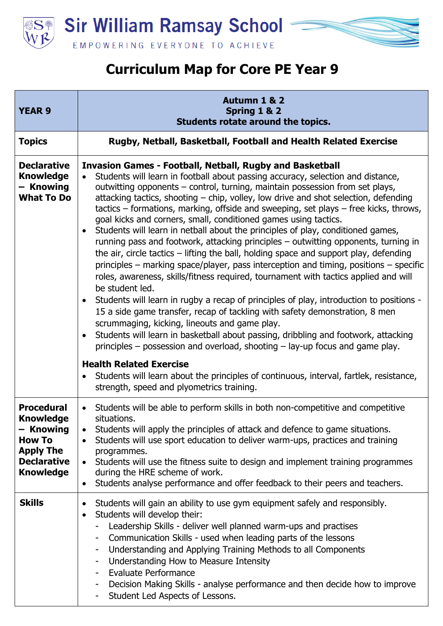



| <b>YEAR 9</b>                                                                                                                     | Autumn 1 & 2<br>Spring 1 & 2<br>Students rotate around the topics.                                                                                                                                                                                                                                                                                                                                                                                                                                                                                                                                                                                                                                                                                                                                                                                                                                                                                                                                                                                                                                                                                                                                                                                                                                                                                                                                                                                                                                                                                                                                             |
|-----------------------------------------------------------------------------------------------------------------------------------|----------------------------------------------------------------------------------------------------------------------------------------------------------------------------------------------------------------------------------------------------------------------------------------------------------------------------------------------------------------------------------------------------------------------------------------------------------------------------------------------------------------------------------------------------------------------------------------------------------------------------------------------------------------------------------------------------------------------------------------------------------------------------------------------------------------------------------------------------------------------------------------------------------------------------------------------------------------------------------------------------------------------------------------------------------------------------------------------------------------------------------------------------------------------------------------------------------------------------------------------------------------------------------------------------------------------------------------------------------------------------------------------------------------------------------------------------------------------------------------------------------------------------------------------------------------------------------------------------------------|
| <b>Topics</b>                                                                                                                     | Rugby, Netball, Basketball, Football and Health Related Exercise                                                                                                                                                                                                                                                                                                                                                                                                                                                                                                                                                                                                                                                                                                                                                                                                                                                                                                                                                                                                                                                                                                                                                                                                                                                                                                                                                                                                                                                                                                                                               |
| <b>Declarative</b><br><b>Knowledge</b><br>- Knowing<br><b>What To Do</b>                                                          | <b>Invasion Games - Football, Netball, Rugby and Basketball</b><br>Students will learn in football about passing accuracy, selection and distance,<br>$\bullet$<br>outwitting opponents - control, turning, maintain possession from set plays,<br>attacking tactics, shooting – chip, volley, low drive and shot selection, defending<br>$t$ tactics – formations, marking, offside and sweeping, set plays – free kicks, throws,<br>goal kicks and corners, small, conditioned games using tactics.<br>Students will learn in netball about the principles of play, conditioned games,<br>$\bullet$<br>running pass and footwork, attacking principles - outwitting opponents, turning in<br>the air, circle tactics $-$ lifting the ball, holding space and support play, defending<br>principles – marking space/player, pass interception and timing, positions – specific<br>roles, awareness, skills/fitness required, tournament with tactics applied and will<br>be student led.<br>Students will learn in rugby a recap of principles of play, introduction to positions -<br>$\bullet$<br>15 a side game transfer, recap of tackling with safety demonstration, 8 men<br>scrummaging, kicking, lineouts and game play.<br>Students will learn in basketball about passing, dribbling and footwork, attacking<br>$\bullet$<br>principles $-$ possession and overload, shooting $-$ lay-up focus and game play.<br><b>Health Related Exercise</b><br>Students will learn about the principles of continuous, interval, fartlek, resistance,<br>$\bullet$<br>strength, speed and plyometrics training. |
| <b>Procedural</b><br><b>Knowledge</b><br>- Knowing<br><b>How To</b><br><b>Apply The</b><br><b>Declarative</b><br><b>Knowledge</b> | Students will be able to perform skills in both non-competitive and competitive<br>$\bullet$<br>situations.<br>Students will apply the principles of attack and defence to game situations.<br>$\bullet$<br>Students will use sport education to deliver warm-ups, practices and training<br>$\bullet$<br>programmes.<br>Students will use the fitness suite to design and implement training programmes<br>$\bullet$<br>during the HRE scheme of work.<br>Students analyse performance and offer feedback to their peers and teachers.<br>$\bullet$                                                                                                                                                                                                                                                                                                                                                                                                                                                                                                                                                                                                                                                                                                                                                                                                                                                                                                                                                                                                                                                           |
| <b>Skills</b>                                                                                                                     | Students will gain an ability to use gym equipment safely and responsibly.<br>$\bullet$<br>Students will develop their:<br>$\bullet$<br>Leadership Skills - deliver well planned warm-ups and practises<br>Communication Skills - used when leading parts of the lessons<br>Understanding and Applying Training Methods to all Components<br>-<br>Understanding How to Measure Intensity<br>-<br><b>Evaluate Performance</b><br>Decision Making Skills - analyse performance and then decide how to improve<br>Student Led Aspects of Lessons.                                                                                                                                                                                                                                                                                                                                                                                                                                                                                                                                                                                                                                                                                                                                                                                                                                                                                                                                                                                                                                                                 |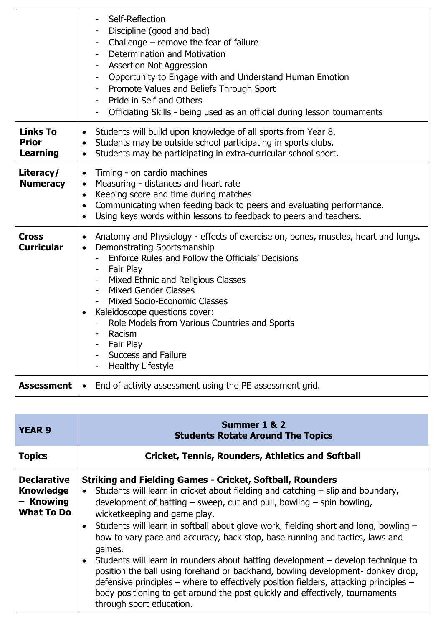|                                                    | Self-Reflection<br>Discipline (good and bad)<br>- Challenge – remove the fear of failure<br>Determination and Motivation<br><b>Assertion Not Aggression</b><br>- Opportunity to Engage with and Understand Human Emotion<br>- Promote Values and Beliefs Through Sport<br>Pride in Self and Others<br>Officiating Skills - being used as an official during lesson tournaments                                                                                                            |
|----------------------------------------------------|-------------------------------------------------------------------------------------------------------------------------------------------------------------------------------------------------------------------------------------------------------------------------------------------------------------------------------------------------------------------------------------------------------------------------------------------------------------------------------------------|
| <b>Links To</b><br><b>Prior</b><br><b>Learning</b> | Students will build upon knowledge of all sports from Year 8.<br>$\bullet$<br>Students may be outside school participating in sports clubs.<br>$\bullet$<br>Students may be participating in extra-curricular school sport.<br>$\bullet$                                                                                                                                                                                                                                                  |
| Literacy/<br><b>Numeracy</b>                       | Timing - on cardio machines<br>$\bullet$<br>Measuring - distances and heart rate<br>$\bullet$<br>Keeping score and time during matches<br>$\bullet$<br>Communicating when feeding back to peers and evaluating performance.<br>$\bullet$<br>Using keys words within lessons to feedback to peers and teachers.<br>$\bullet$                                                                                                                                                               |
| <b>Cross</b><br><b>Curricular</b>                  | Anatomy and Physiology - effects of exercise on, bones, muscles, heart and lungs.<br>$\bullet$<br>Demonstrating Sportsmanship<br>$\bullet$<br>Enforce Rules and Follow the Officials' Decisions<br>- Fair Play<br>- Mixed Ethnic and Religious Classes<br>- Mixed Gender Classes<br><b>Mixed Socio-Economic Classes</b><br>Kaleidoscope questions cover:<br>- Role Models from Various Countries and Sports<br>- Racism<br>- Fair Play<br><b>Success and Failure</b><br>Healthy Lifestyle |
| <b>Assessment</b>                                  | End of activity assessment using the PE assessment grid.<br>$\bullet$                                                                                                                                                                                                                                                                                                                                                                                                                     |

| <b>YEAR 9</b>                                                            | Summer 1 & 2<br><b>Students Rotate Around The Topics</b>                                                                                                                                                                                                                                                                                                                                                                                                                                                                                                                                                                                                                                                                                                                                                                                                                |
|--------------------------------------------------------------------------|-------------------------------------------------------------------------------------------------------------------------------------------------------------------------------------------------------------------------------------------------------------------------------------------------------------------------------------------------------------------------------------------------------------------------------------------------------------------------------------------------------------------------------------------------------------------------------------------------------------------------------------------------------------------------------------------------------------------------------------------------------------------------------------------------------------------------------------------------------------------------|
| <b>Topics</b>                                                            | <b>Cricket, Tennis, Rounders, Athletics and Softball</b>                                                                                                                                                                                                                                                                                                                                                                                                                                                                                                                                                                                                                                                                                                                                                                                                                |
| <b>Declarative</b><br><b>Knowledge</b><br>- Knowing<br><b>What To Do</b> | <b>Striking and Fielding Games - Cricket, Softball, Rounders</b><br>Students will learn in cricket about fielding and catching $-$ slip and boundary,<br>$\bullet$<br>development of batting $-$ sweep, cut and pull, bowling $-$ spin bowling,<br>wicketkeeping and game play.<br>Students will learn in softball about glove work, fielding short and long, bowling -<br>$\bullet$<br>how to vary pace and accuracy, back stop, base running and tactics, laws and<br>games.<br>Students will learn in rounders about batting development – develop technique to<br>$\bullet$<br>position the ball using forehand or backhand, bowling development- donkey drop,<br>defensive principles – where to effectively position fielders, attacking principles –<br>body positioning to get around the post quickly and effectively, tournaments<br>through sport education. |